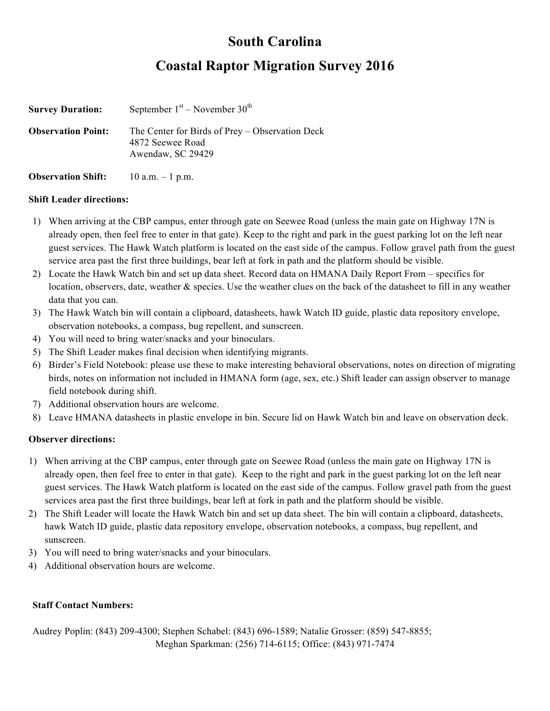## **South Carolina**

## **Coastal Raptor Migration Survey 2016**

| <b>Survey Duration:</b>   | September $1st$ – November $30th$                                                        |
|---------------------------|------------------------------------------------------------------------------------------|
| <b>Observation Point:</b> | The Center for Birds of Prey – Observation Deck<br>4872 Seewee Road<br>Awendaw, SC 29429 |

### **Observation Shift:** 10 a.m. – 1 p.m.

#### **Shift Leader directions:**

- 1) When arriving at the CBP campus, enter through gate on Seewee Road (unless the main gate on Highway 17N is already open, then feel free to enter in that gate). Keep to the right and park in the guest parking lot on the left near guest services. The Hawk Watch platform is located on the east side of the campus. Follow gravel path from the guest service area past the first three buildings, bear left at fork in path and the platform should be visible.
- 2) Locate the Hawk Watch bin and set up data sheet. Record data on HMANA Daily Report From specifics for location, observers, date, weather & species. Use the weather clues on the back of the datasheet to fill in any weather data that you can.
- 3) The Hawk Watch bin will contain a clipboard, datasheets, hawk Watch ID guide, plastic data repository envelope, observation notebooks, a compass, bug repellent, and sunscreen.
- 4) You will need to bring water/snacks and your binoculars.
- 5) The Shift Leader makes final decision when identifying migrants.
- 6) Birder's Field Notebook: please use these to make interesting behavioral observations, notes on direction of migrating birds, notes on information not included in HMANA form (age, sex, etc.) Shift leader can assign observer to manage field notebook during shift.
- 7) Additional observation hours are welcome.
- 8) Leave HMANA datasheets in plastic envelope in bin. Secure lid on Hawk Watch bin and leave on observation deck.

### **Observer directions:**

- 1) When arriving at the CBP campus, enter through gate on Seewee Road (unless the main gate on Highway 17N is already open, then feel free to enter in that gate). Keep to the right and park in the guest parking lot on the left near guest services. The Hawk Watch platform is located on the east side of the campus. Follow gravel path from the guest services area past the first three buildings, bear left at fork in path and the platform should be visible.
- 2) The Shift Leader will locate the Hawk Watch bin and set up data sheet. The bin will contain a clipboard, datasheets, hawk Watch ID guide, plastic data repository envelope, observation notebooks, a compass, bug repellent, and sunscreen.
- 3) You will need to bring water/snacks and your binoculars.
- 4) Additional observation hours are welcome.

### **Staff Contact Numbers:**

Audrey Poplin: (843) 209-4300; Stephen Schabel: (843) 696-1589; Natalie Grosser: (859) 547-8855; Meghan Sparkman: (256) 714-6115; Office: (843) 971-7474